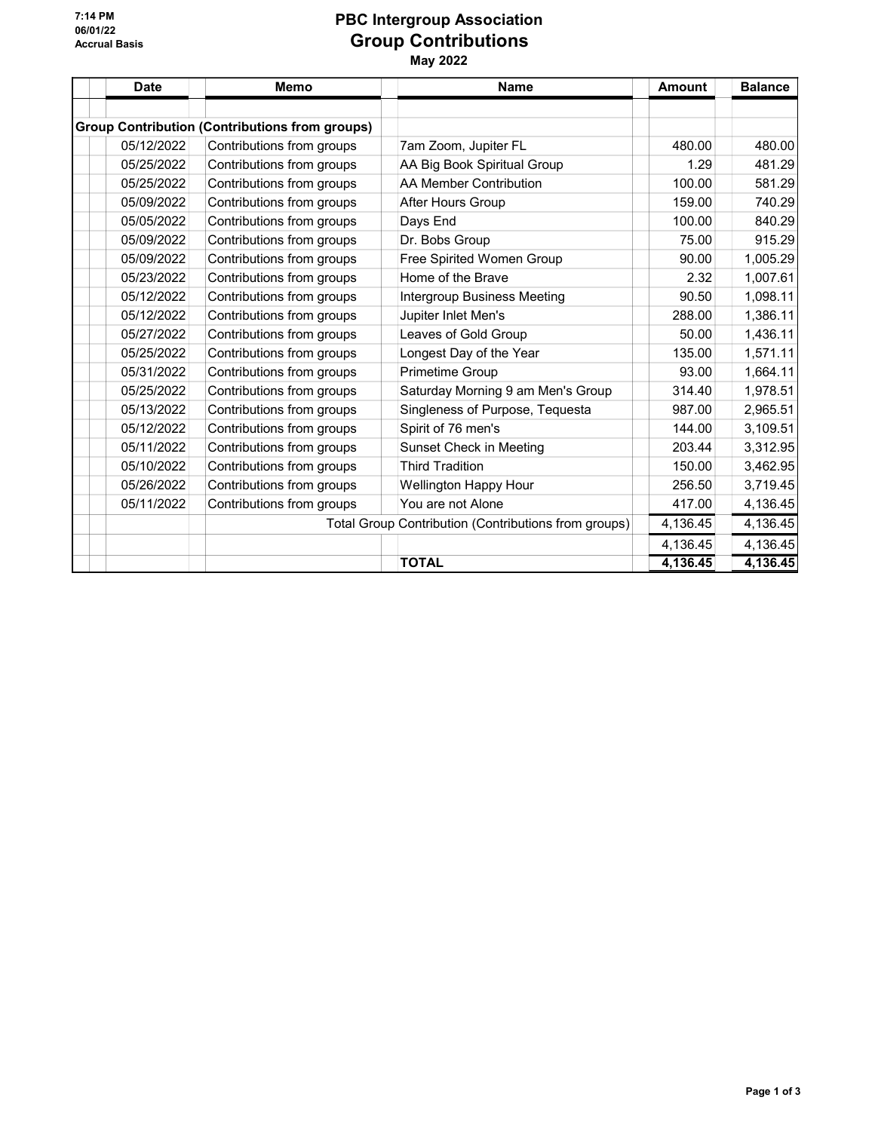7:14 PM 06/01/22 Accrual Basis

## PBC Intergroup Association Group Contributions May 2022

| <b>Date</b> | Memo                                                  | <b>Name</b>                                          | <b>Amount</b> | <b>Balance</b>       |
|-------------|-------------------------------------------------------|------------------------------------------------------|---------------|----------------------|
|             |                                                       |                                                      |               |                      |
|             | <b>Group Contribution (Contributions from groups)</b> |                                                      |               |                      |
| 05/12/2022  | Contributions from groups                             | 7am Zoom, Jupiter FL                                 | 480.00        | 480.00               |
| 05/25/2022  | Contributions from groups                             | AA Big Book Spiritual Group                          | 1.29          | 481.29               |
| 05/25/2022  | Contributions from groups                             | <b>AA Member Contribution</b>                        | 100.00        | 581.29               |
| 05/09/2022  | Contributions from groups                             | After Hours Group                                    | 159.00        | 740.29               |
| 05/05/2022  | Contributions from groups                             | Days End                                             | 100.00        | 840.29               |
| 05/09/2022  | Contributions from groups                             | Dr. Bobs Group                                       | 75.00         | 915.29               |
| 05/09/2022  | Contributions from groups                             | Free Spirited Women Group                            | 90.00         | 1,005.29             |
| 05/23/2022  | Contributions from groups                             | Home of the Brave                                    | 2.32          | 1,007.61             |
| 05/12/2022  | Contributions from groups                             | <b>Intergroup Business Meeting</b>                   | 90.50         | 1,098.11             |
| 05/12/2022  | Contributions from groups                             | Jupiter Inlet Men's                                  | 288.00        | 1,386.11             |
| 05/27/2022  | Contributions from groups                             | Leaves of Gold Group                                 | 50.00         | 1,436.11             |
| 05/25/2022  | Contributions from groups                             | Longest Day of the Year                              | 135.00        | 1,571.11             |
| 05/31/2022  | Contributions from groups                             | Primetime Group                                      | 93.00         | 1,664.11             |
| 05/25/2022  | Contributions from groups                             | Saturday Morning 9 am Men's Group                    | 314.40        | 1,978.51             |
| 05/13/2022  | Contributions from groups                             | Singleness of Purpose, Tequesta                      | 987.00        | 2,965.51             |
| 05/12/2022  | Contributions from groups                             | Spirit of 76 men's                                   | 144.00        | 3,109.51             |
| 05/11/2022  | Contributions from groups                             | Sunset Check in Meeting                              | 203.44        | 3,312.95             |
| 05/10/2022  | Contributions from groups                             | <b>Third Tradition</b>                               | 150.00        | 3,462.95             |
| 05/26/2022  | Contributions from groups                             | <b>Wellington Happy Hour</b>                         | 256.50        | 3,719.45             |
| 05/11/2022  | Contributions from groups                             | You are not Alone                                    | 417.00        | 4,136.45             |
|             |                                                       | Total Group Contribution (Contributions from groups) | 4,136.45      | 4,136.45             |
|             |                                                       |                                                      | 4,136.45      | 4,136.45<br>4,136.45 |
|             | <b>TOTAL</b>                                          |                                                      |               |                      |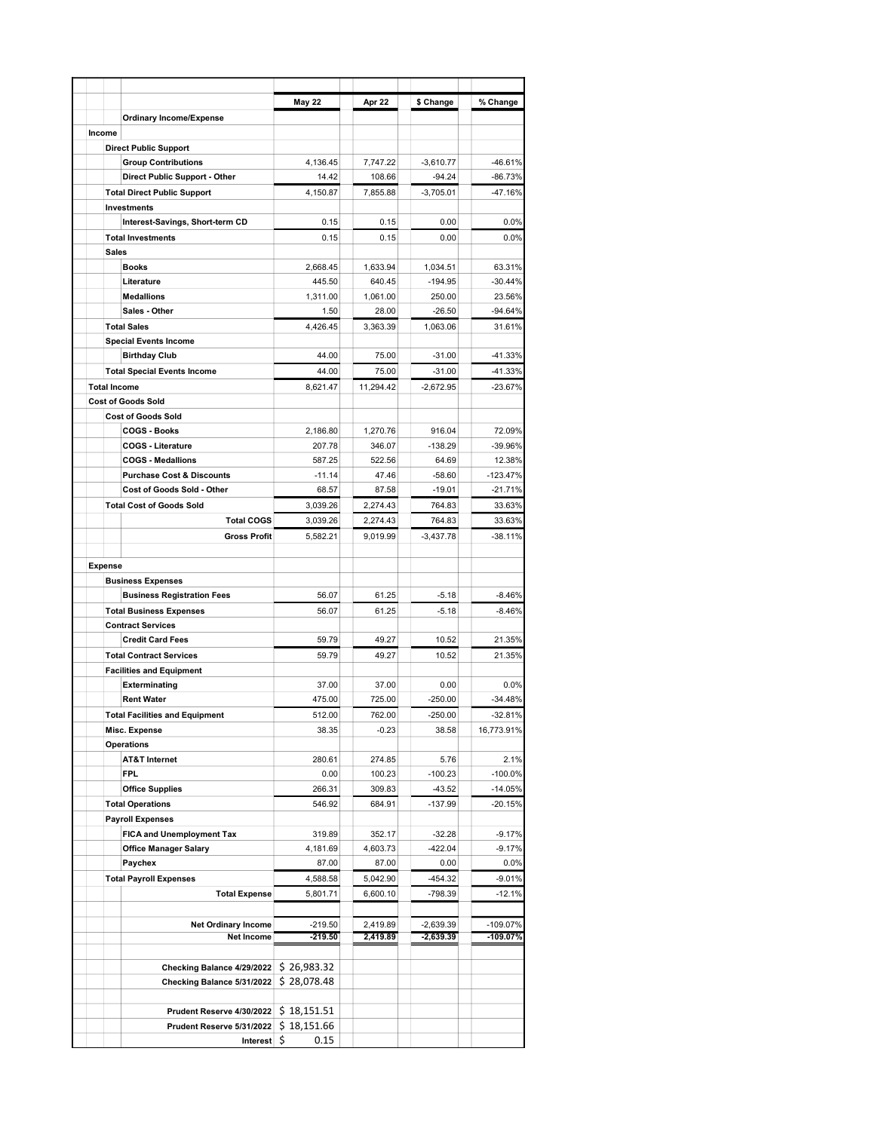|                     |                                                        | May 22         | Apr 22           | \$ Change             | % Change               |
|---------------------|--------------------------------------------------------|----------------|------------------|-----------------------|------------------------|
|                     | <b>Ordinary Income/Expense</b>                         |                |                  |                       |                        |
| Income              |                                                        |                |                  |                       |                        |
|                     | <b>Direct Public Support</b>                           |                |                  |                       |                        |
|                     | <b>Group Contributions</b>                             | 4,136.45       | 7,747.22         | $-3,610.77$           | $-46.61%$              |
|                     | Direct Public Support - Other                          | 14.42          | 108.66           | $-94.24$              | $-86.73%$              |
|                     | <b>Total Direct Public Support</b>                     | 4,150.87       | 7,855.88         | $-3,705.01$           | -47.16%                |
|                     | Investments                                            |                |                  |                       |                        |
|                     | Interest-Savings, Short-term CD                        | 0.15           | 0.15             | 0.00                  | 0.0%                   |
|                     | <b>Total Investments</b>                               | 0.15           | 0.15             | 0.00                  | 0.0%                   |
| <b>Sales</b>        |                                                        |                |                  |                       |                        |
|                     | <b>Books</b>                                           | 2,668.45       | 1,633.94         | 1,034.51              | 63.31%                 |
|                     | Literature                                             | 445.50         | 640.45           | $-194.95$             | $-30.44%$              |
|                     | <b>Medallions</b>                                      | 1,311.00       | 1,061.00         | 250.00                | 23.56%                 |
|                     | Sales - Other                                          | 1.50           | 28.00            | $-26.50$              | $-94.64%$              |
|                     | <b>Total Sales</b>                                     | 4,426.45       | 3,363.39         | 1,063.06              | 31.61%                 |
|                     | <b>Special Events Income</b>                           |                |                  |                       |                        |
|                     | <b>Birthday Club</b>                                   | 44.00          | 75.00            | $-31.00$              | $-41.33%$              |
|                     | <b>Total Special Events Income</b>                     | 44.00          | 75.00            | $-31.00$              | $-41.33%$              |
| <b>Total Income</b> |                                                        | 8,621.47       | 11,294.42        | $-2,672.95$           | $-23.67%$              |
|                     | <b>Cost of Goods Sold</b><br><b>Cost of Goods Sold</b> |                |                  |                       |                        |
|                     | <b>COGS - Books</b>                                    | 2,186.80       | 1,270.76         | 916.04                | 72.09%                 |
|                     | <b>COGS - Literature</b>                               | 207.78         | 346.07           | $-138.29$             | -39.96%                |
|                     | <b>COGS - Medallions</b>                               | 587.25         | 522.56           | 64.69                 | 12.38%                 |
|                     | <b>Purchase Cost &amp; Discounts</b>                   | $-11.14$       | 47.46            | $-58.60$              | $-123.47%$             |
|                     | Cost of Goods Sold - Other                             | 68.57          | 87.58            | $-19.01$              | $-21.71%$              |
|                     | <b>Total Cost of Goods Sold</b>                        | 3,039.26       | 2,274.43         | 764.83                | 33.63%                 |
|                     | <b>Total COGS</b>                                      | 3,039.26       | 2,274.43         | 764.83                | 33.63%                 |
|                     | <b>Gross Profit</b>                                    | 5,582.21       | 9,019.99         | $-3,437.78$           | $-38.11%$              |
|                     |                                                        |                |                  |                       |                        |
| <b>Expense</b>      |                                                        |                |                  |                       |                        |
|                     | <b>Business Expenses</b>                               |                |                  |                       |                        |
|                     | <b>Business Registration Fees</b>                      | 56.07          | 61.25            | $-5.18$               | $-8.46%$               |
|                     | <b>Total Business Expenses</b>                         | 56.07          | 61.25            | $-5.18$               | $-8.46%$               |
|                     | <b>Contract Services</b>                               |                |                  |                       |                        |
|                     | <b>Credit Card Fees</b>                                | 59.79          | 49.27            | 10.52                 | 21.35%                 |
|                     | <b>Total Contract Services</b>                         | 59.79          | 49.27            | 10.52                 | 21.35%                 |
|                     | <b>Facilities and Equipment</b>                        |                |                  |                       |                        |
|                     | Exterminating                                          | 37.00          | 37.00            | 0.00                  | 0.0%                   |
|                     | <b>Rent Water</b>                                      | 475.00         | 725.00           | $-250.00$             | $-34.48%$              |
|                     | <b>Total Facilities and Equipment</b>                  | 512.00         | 762.00           | $-250.00$             | $-32.81%$              |
|                     | Misc. Expense                                          | 38.35          | $-0.23$          | 38.58                 | 16,773.91%             |
|                     | Operations                                             |                |                  |                       |                        |
|                     | <b>AT&amp;T Internet</b>                               | 280.61         | 274.85           | 5.76                  | 2.1%                   |
|                     | FPL.<br><b>Office Supplies</b>                         | 0.00<br>266.31 | 100.23<br>309.83 | $-100.23$<br>$-43.52$ | $-100.0%$<br>$-14.05%$ |
|                     | <b>Total Operations</b>                                | 546.92         | 684.91           | -137.99               | $-20.15%$              |
|                     | <b>Payroll Expenses</b>                                |                |                  |                       |                        |
|                     | <b>FICA and Unemployment Tax</b>                       | 319.89         | 352.17           | $-32.28$              | $-9.17%$               |
|                     | <b>Office Manager Salary</b>                           | 4,181.69       | 4,603.73         | $-422.04$             | $-9.17%$               |
|                     | Paychex                                                | 87.00          | 87.00            | 0.00                  | 0.0%                   |
|                     | <b>Total Payroll Expenses</b>                          | 4,588.58       | 5,042.90         | $-454.32$             | $-9.01%$               |
|                     | <b>Total Expense</b>                                   | 5,801.71       | 6,600.10         | -798.39               | $-12.1%$               |
|                     |                                                        |                |                  |                       |                        |
|                     | <b>Net Ordinary Income</b>                             | $-219.50$      | 2,419.89         | $-2,639.39$           | -109.07%               |
|                     | Net Income                                             | -219.50        | 2,419.89         | $-2,639.39$           | $-109.07%$             |
|                     |                                                        |                |                  |                       |                        |
|                     | Checking Balance 4/29/2022                             | \$26,983.32    |                  |                       |                        |
|                     | Checking Balance 5/31/2022                             | \$28,078.48    |                  |                       |                        |
|                     |                                                        |                |                  |                       |                        |
|                     | Prudent Reserve 4/30/2022                              | \$18,151.51    |                  |                       |                        |
|                     | Prudent Reserve 5/31/2022                              | \$18,151.66    |                  |                       |                        |
|                     | Interest                                               | \$<br>0.15     |                  |                       |                        |